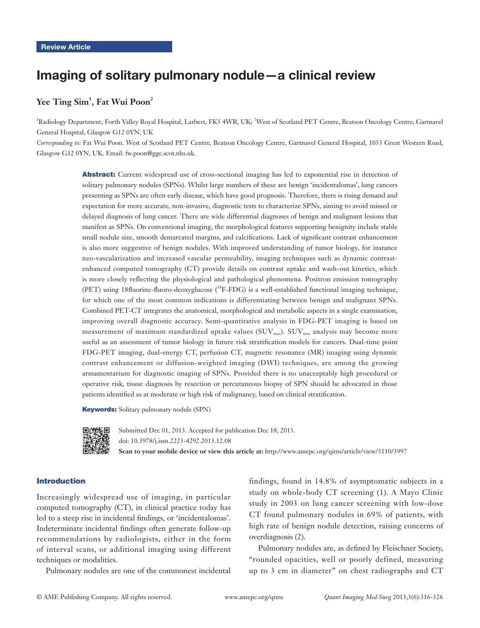# Imaging of solitary pulmonary nodule—a clinical review

# $\mathrm{Ye} \mathrm{\,Ting} \mathrm{\,Sim}^1,\mathrm{Fact} \mathrm{\,Wui} \mathrm{\,Poon}^2$

<sup>1</sup>Radiology Department, Forth Valley Royal Hospital, Larbert, FK5 4WR, UK; <sup>2</sup>West of Scotland PET Centre, Beatson Oncology Centre, Gartnavel General Hospital, Glasgow G12 0YN, UK

*Corresponding to:* Fat Wui Poon. West of Scotland PET Centre, Beatson Oncology Centre, Gartnavel General Hospital, 1053 Great Western Road, Glasgow G12 0YN, UK. Email: fw.poon@ggc.scot.nhs.uk.

> Abstract: Current widespread use of cross-sectional imaging has led to exponential rise in detection of solitary pulmonary nodules (SPNs). Whilst large numbers of these are benign 'incidentalomas', lung cancers presenting as SPNs are often early disease, which have good prognosis. Therefore, there is rising demand and expectation for more accurate, non-invasive, diagnostic tests to characterize SPNs, aiming to avoid missed or delayed diagnosis of lung cancer. There are wide differential diagnoses of benign and malignant lesions that manifest as SPNs. On conventional imaging, the morphological features supporting benignity include stable small nodule size, smooth demarcated margins, and calcifications. Lack of significant contrast enhancement is also more suggestive of benign nodules. With improved understanding of tumor biology, for instance neo-vascularization and increased vascular permeability, imaging techniques such as dynamic contrastenhanced computed tomography (CT) provide details on contrast uptake and wash-out kinetics, which is more closely reflecting the physiological and pathological phenomena. Positron emission tomography (PET) using 18fluorine-fluoro-deoxyglucose (<sup>18</sup>F-FDG) is a well-established functional imaging technique, for which one of the most common indications is differentiating between benign and malignant SPNs. Combined PET-CT integrates the anatomical, morphological and metabolic aspects in a single examination, improving overall diagnostic accuracy. Semi-quantitative analysis in FDG-PET imaging is based on measurement of maximum standardized uptake values  $(SUV_{max})$ .  $SUV_{max}$  analysis may become more useful as an assessment of tumor biology in future risk stratification models for cancers. Dual-time point FDG-PET imaging, dual-energy CT, perfusion CT, magnetic resonance (MR) imaging using dynamic contrast enhancement or diffusion-weighted imaging (DWI) techniques, are among the growing armamentarium for diagnostic imaging of SPNs. Provided there is no unacceptably high procedural or operative risk, tissue diagnosis by resection or percutaneous biopsy of SPN should be advocated in those patients identified as at moderate or high risk of malignancy, based on clinical stratification.

Keywords: Solitary pulmonary nodule (SPN)



Submitted Dec 01, 2013. Accepted for publication Dec 18, 2013. doi: 10.3978/j.issn.2223-4292.2013.12.08 **Scan to your mobile device or view this article at:** http://www.amepc.org/qims/article/view/3110/3997

#### Introduction

Increasingly widespread use of imaging, in particular computed tomography (CT), in clinical practice today has led to a steep rise in incidental findings, or 'incidentalomas'. Indeterminate incidental findings often generate follow-up recommendations by radiologists, either in the form of interval scans, or additional imaging using different techniques or modalities.

Pulmonary nodules are one of the commonest incidental

findings, found in 14.8% of asymptomatic subjects in a study on whole-body CT screening (1). A Mayo Clinic study in 2003 on lung cancer screening with low-dose CT found pulmonary nodules in 69% of patients, with high rate of benign nodule detection, raising concerns of overdiagnosis (2).

Pulmonary nodules are, as defined by Fleischner Society, "rounded opacities, well or poorly defined, measuring up to 3 cm in diameter" on chest radiographs and CT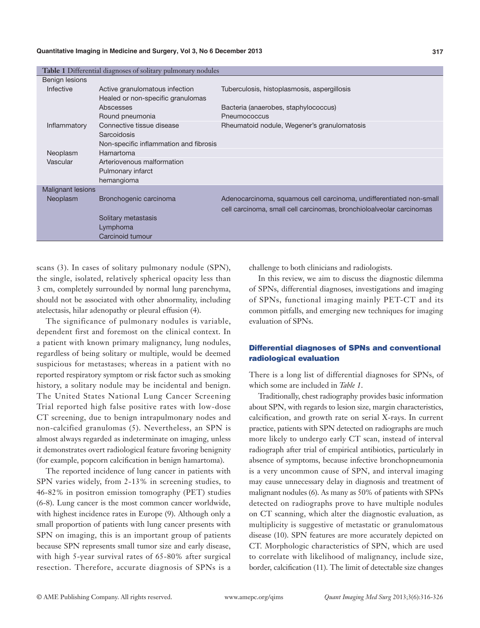| Benign lesions<br>Infective<br>Active granulomatous infection<br>Tuberculosis, histoplasmosis, aspergillosis<br>Healed or non-specific granulomas<br>Abscesses<br>Bacteria (anaerobes, staphylococcus)<br>Round pneumonia<br>Pneumococcus<br>Connective tissue disease<br>Rheumatoid nodule, Wegener's granulomatosis<br>Inflammatory<br><b>Sarcoidosis</b><br>Non-specific inflammation and fibrosis<br>Hamartoma<br>Neoplasm<br>Arteriovenous malformation<br>Vascular<br>Pulmonary infarct<br>hemangioma<br>Malignant lesions<br>Neoplasm<br>Adenocarcinoma, squamous cell carcinoma, undifferentiated non-small<br>Bronchogenic carcinoma<br>cell carcinoma, small cell carcinomas, bronchioloalveolar carcinomas<br>Solitary metastasis<br>Lymphoma<br>Carcinoid tumour | <b>Table 1</b> Differential diagnoses of solitary pulmonary nodules |  |  |  |
|------------------------------------------------------------------------------------------------------------------------------------------------------------------------------------------------------------------------------------------------------------------------------------------------------------------------------------------------------------------------------------------------------------------------------------------------------------------------------------------------------------------------------------------------------------------------------------------------------------------------------------------------------------------------------------------------------------------------------------------------------------------------------|---------------------------------------------------------------------|--|--|--|
|                                                                                                                                                                                                                                                                                                                                                                                                                                                                                                                                                                                                                                                                                                                                                                              |                                                                     |  |  |  |
|                                                                                                                                                                                                                                                                                                                                                                                                                                                                                                                                                                                                                                                                                                                                                                              |                                                                     |  |  |  |
|                                                                                                                                                                                                                                                                                                                                                                                                                                                                                                                                                                                                                                                                                                                                                                              |                                                                     |  |  |  |
|                                                                                                                                                                                                                                                                                                                                                                                                                                                                                                                                                                                                                                                                                                                                                                              |                                                                     |  |  |  |
|                                                                                                                                                                                                                                                                                                                                                                                                                                                                                                                                                                                                                                                                                                                                                                              |                                                                     |  |  |  |
|                                                                                                                                                                                                                                                                                                                                                                                                                                                                                                                                                                                                                                                                                                                                                                              |                                                                     |  |  |  |
|                                                                                                                                                                                                                                                                                                                                                                                                                                                                                                                                                                                                                                                                                                                                                                              |                                                                     |  |  |  |
|                                                                                                                                                                                                                                                                                                                                                                                                                                                                                                                                                                                                                                                                                                                                                                              |                                                                     |  |  |  |
|                                                                                                                                                                                                                                                                                                                                                                                                                                                                                                                                                                                                                                                                                                                                                                              |                                                                     |  |  |  |
|                                                                                                                                                                                                                                                                                                                                                                                                                                                                                                                                                                                                                                                                                                                                                                              |                                                                     |  |  |  |
|                                                                                                                                                                                                                                                                                                                                                                                                                                                                                                                                                                                                                                                                                                                                                                              |                                                                     |  |  |  |
|                                                                                                                                                                                                                                                                                                                                                                                                                                                                                                                                                                                                                                                                                                                                                                              |                                                                     |  |  |  |
|                                                                                                                                                                                                                                                                                                                                                                                                                                                                                                                                                                                                                                                                                                                                                                              |                                                                     |  |  |  |
|                                                                                                                                                                                                                                                                                                                                                                                                                                                                                                                                                                                                                                                                                                                                                                              |                                                                     |  |  |  |
|                                                                                                                                                                                                                                                                                                                                                                                                                                                                                                                                                                                                                                                                                                                                                                              |                                                                     |  |  |  |
|                                                                                                                                                                                                                                                                                                                                                                                                                                                                                                                                                                                                                                                                                                                                                                              |                                                                     |  |  |  |
|                                                                                                                                                                                                                                                                                                                                                                                                                                                                                                                                                                                                                                                                                                                                                                              |                                                                     |  |  |  |
|                                                                                                                                                                                                                                                                                                                                                                                                                                                                                                                                                                                                                                                                                                                                                                              |                                                                     |  |  |  |

scans (3). In cases of solitary pulmonary nodule (SPN), the single, isolated, relatively spherical opacity less than 3 cm, completely surrounded by normal lung parenchyma, should not be associated with other abnormality, including atelectasis, hilar adenopathy or pleural effusion (4).

The significance of pulmonary nodules is variable, dependent first and foremost on the clinical context. In a patient with known primary malignancy, lung nodules, regardless of being solitary or multiple, would be deemed suspicious for metastases; whereas in a patient with no reported respiratory symptom or risk factor such as smoking history, a solitary nodule may be incidental and benign. The United States National Lung Cancer Screening Trial reported high false positive rates with low-dose CT screening, due to benign intrapulmonary nodes and non-calcified granulomas (5). Nevertheless, an SPN is almost always regarded as indeterminate on imaging, unless it demonstrates overt radiological feature favoring benignity (for example, popcorn calcification in benign hamartoma).

The reported incidence of lung cancer in patients with SPN varies widely, from 2-13% in screening studies, to 46-82% in positron emission tomography (PET) studies (6-8). Lung cancer is the most common cancer worldwide, with highest incidence rates in Europe (9). Although only a small proportion of patients with lung cancer presents with SPN on imaging, this is an important group of patients because SPN represents small tumor size and early disease, with high 5-year survival rates of 65-80% after surgical resection. Therefore, accurate diagnosis of SPNs is a

challenge to both clinicians and radiologists.

In this review, we aim to discuss the diagnostic dilemma of SPNs, differential diagnoses, investigations and imaging of SPNs, functional imaging mainly PET-CT and its common pitfalls, and emerging new techniques for imaging evaluation of SPNs.

# Differential diagnoses of SPNs and conventional radiological evaluation

There is a long list of differential diagnoses for SPNs, of which some are included in *Table 1*.

Traditionally, chest radiography provides basic information about SPN, with regards to lesion size, margin characteristics, calcification, and growth rate on serial X-rays. In current practice, patients with SPN detected on radiographs are much more likely to undergo early CT scan, instead of interval radiograph after trial of empirical antibiotics, particularly in absence of symptoms, because infective bronchopneumonia is a very uncommon cause of SPN, and interval imaging may cause unnecessary delay in diagnosis and treatment of malignant nodules (6). As many as 50% of patients with SPNs detected on radiographs prove to have multiple nodules on CT scanning, which alter the diagnostic evaluation, as multiplicity is suggestive of metastatic or granulomatous disease (10). SPN features are more accurately depicted on CT. Morphologic characteristics of SPN, which are used to correlate with likelihood of malignancy, include size, border, calcification (11). The limit of detectable size changes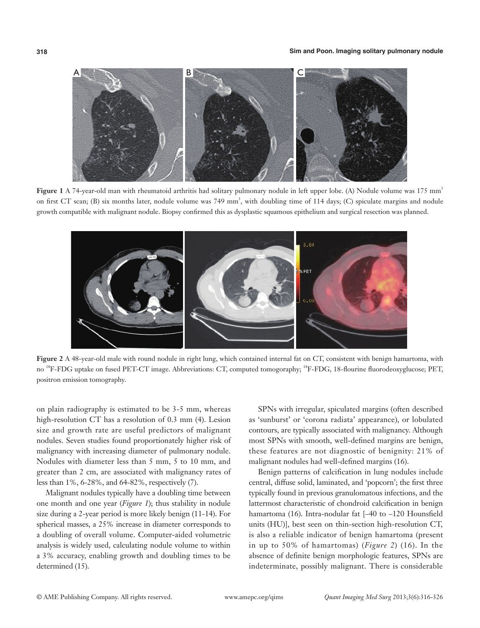

**Figure 1** A 74-year-old man with rheumatoid arthritis had solitary pulmonary nodule in left upper lobe. (A) Nodule volume was 175 mm<sup>3</sup> on first CT scan; (B) six months later, nodule volume was 749 mm<sup>3</sup>, with doubling time of 114 days; (C) spiculate margins and nodule growth compatible with malignant nodule. Biopsy confirmed this as dysplastic squamous epithelium and surgical resection was planned.



**Figure 2** A 48-year-old male with round nodule in right lung, which contained internal fat on CT, consistent with benign hamartoma, with no <sup>18</sup>F-FDG uptake on fused PET-CT image. Abbreviations: CT, computed tomogoraphy; <sup>18</sup>F-FDG, 18-flourine fluorodeoxyglucose; PET, positron emission tomography.

on plain radiography is estimated to be 3-5 mm, whereas high-resolution CT has a resolution of 0.3 mm (4). Lesion size and growth rate are useful predictors of malignant nodules. Seven studies found proportionately higher risk of malignancy with increasing diameter of pulmonary nodule. Nodules with diameter less than 5 mm, 5 to 10 mm, and greater than 2 cm, are associated with malignancy rates of less than 1%, 6-28%, and 64-82%, respectively (7).

Malignant nodules typically have a doubling time between one month and one year (*Figure 1*); thus stability in nodule size during a 2-year period is more likely benign (11-14). For spherical masses, a 25% increase in diameter corresponds to a doubling of overall volume. Computer-aided volumetric analysis is widely used, calculating nodule volume to within a 3% accuracy, enabling growth and doubling times to be determined (15).

SPNs with irregular, spiculated margins (often described as 'sunburst' or 'corona radiata' appearance), or lobulated contours, are typically associated with malignancy. Although most SPNs with smooth, well-defined margins are benign, these features are not diagnostic of benignity: 21% of malignant nodules had well-defined margins (16).

Benign patterns of calcification in lung nodules include central, diffuse solid, laminated, and 'popcorn'; the first three typically found in previous granulomatous infections, and the lattermost characteristic of chondroid calcification in benign hamartoma (16). Intra-nodular fat [–40 to –120 Hounsfield units (HU)], best seen on thin-section high-resolution CT, is also a reliable indicator of benign hamartoma (present in up to 50% of hamartomas) (*Figure 2*) (16). In the absence of definite benign morphologic features, SPNs are indeterminate, possibly malignant. There is considerable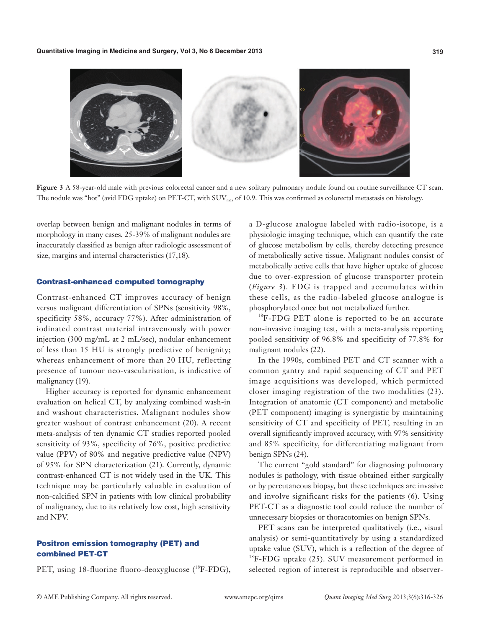

**Figure 3** A 58-year-old male with previous colorectal cancer and a new solitary pulmonary nodule found on routine surveillance CT scan. The nodule was "hot" (avid FDG uptake) on PET-CT, with SUV<sub>max</sub> of 10.9. This was confirmed as colorectal metastasis on histology.

overlap between benign and malignant nodules in terms of morphology in many cases. 25-39% of malignant nodules are inaccurately classified as benign after radiologic assessment of size, margins and internal characteristics (17,18).

#### Contrast-enhanced computed tomography

Contrast-enhanced CT improves accuracy of benign versus malignant differentiation of SPNs (sensitivity 98%, specificity 58%, accuracy 77%). After administration of iodinated contrast material intravenously with power injection (300 mg/mL at 2 mL/sec), nodular enhancement of less than 15 HU is strongly predictive of benignity; whereas enhancement of more than 20 HU, reflecting presence of tumour neo-vascularisation, is indicative of malignancy (19).

Higher accuracy is reported for dynamic enhancement evaluation on helical CT, by analyzing combined wash-in and washout characteristics. Malignant nodules show greater washout of contrast enhancement (20). A recent meta-analysis of ten dynamic CT studies reported pooled sensitivity of 93%, specificity of 76%, positive predictive value (PPV) of 80% and negative predictive value (NPV) of 95% for SPN characterization (21). Currently, dynamic contrast-enhanced CT is not widely used in the UK. This technique may be particularly valuable in evaluation of non-calcified SPN in patients with low clinical probability of malignancy, due to its relatively low cost, high sensitivity and NPV.

## Positron emission tomography (PET) and combined PET-CT

PET, using 18-fluorine fluoro-deoxyglucose  $(^{18}F-FDG)$ ,

a D-glucose analogue labeled with radio-isotope, is a physiologic imaging technique, which can quantify the rate of glucose metabolism by cells, thereby detecting presence of metabolically active tissue. Malignant nodules consist of metabolically active cells that have higher uptake of glucose due to over-expression of glucose transporter protein (*Figure 3*). FDG is trapped and accumulates within these cells, as the radio-labeled glucose analogue is phosphorylated once but not metabolized further. 18F-FDG PET alone is reported to be an accurate

non-invasive imaging test, with a meta-analysis reporting pooled sensitivity of 96.8% and specificity of 77.8% for malignant nodules (22).

In the 1990s, combined PET and CT scanner with a common gantry and rapid sequencing of CT and PET image acquisitions was developed, which permitted closer imaging registration of the two modalities (23). Integration of anatomic (CT component) and metabolic (PET component) imaging is synergistic by maintaining sensitivity of CT and specificity of PET, resulting in an overall significantly improved accuracy, with 97% sensitivity and 85% specificity, for differentiating malignant from benign SPNs (24).

The current "gold standard" for diagnosing pulmonary nodules is pathology, with tissue obtained either surgically or by percutaneous biopsy, but these techniques are invasive and involve significant risks for the patients (6). Using PET-CT as a diagnostic tool could reduce the number of unnecessary biopsies or thoracotomies on benign SPNs.

PET scans can be interpreted qualitatively (i.e., visual analysis) or semi-quantitatively by using a standardized uptake value (SUV), which is a reflection of the degree of  $^{18}$ F-FDG uptake (25). SUV measurement performed in selected region of interest is reproducible and observer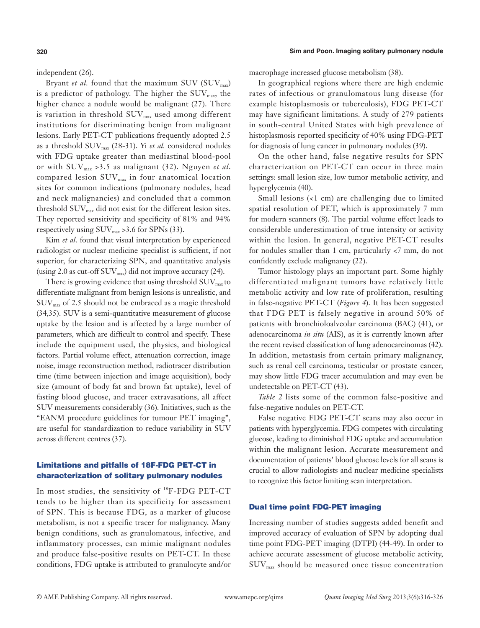independent (26).

Bryant *et al.* found that the maximum SUV ( $\text{SUV}_{\text{max}}$ ) is a predictor of pathology. The higher the  $\text{SUV}_{\text{max}}$ , the higher chance a nodule would be malignant (27). There is variation in threshold  $\text{SUV}_{\text{max}}$  used among different institutions for discriminating benign from malignant lesions. Early PET-CT publications frequently adopted 2.5 as a threshold SUVmax (28-31). Yi *et al.* considered nodules with FDG uptake greater than mediastinal blood-pool or with SUVmax >3.5 as malignant (32). Nguyen *et al*. compared lesion  $\text{SUV}_{\text{max}}$  in four anatomical location sites for common indications (pulmonary nodules, head and neck malignancies) and concluded that a common threshold  $\text{SUV}_{\text{max}}$  did not exist for the different lesion sites. They reported sensitivity and specificity of 81% and 94% respectively using  $\text{SUV}_{\text{max}} > 3.6$  for SPNs (33).

Kim *et al*. found that visual interpretation by experienced radiologist or nuclear medicine specialist is sufficient, if not superior, for characterizing SPN, and quantitative analysis (using 2.0 as cut-off  $\text{SUV}_{\text{max}}$ ) did not improve accuracy (24).

There is growing evidence that using threshold  $\text{SUV}_{\text{max}}$  to differentiate malignant from benign lesions is unrealistic, and  $\text{SUV}_{\text{max}}$  of 2.5 should not be embraced as a magic threshold (34,35). SUV is a semi-quantitative measurement of glucose uptake by the lesion and is affected by a large number of parameters, which are difficult to control and specify. These include the equipment used, the physics, and biological factors. Partial volume effect, attenuation correction, image noise, image reconstruction method, radiotracer distribution time (time between injection and image acquisition), body size (amount of body fat and brown fat uptake), level of fasting blood glucose, and tracer extravasations, all affect SUV measurements considerably (36). Initiatives, such as the "EANM procedure guidelines for tumour PET imaging", are useful for standardization to reduce variability in SUV across different centres (37).

# Limitations and pitfalls of 18F-FDG PET-CT in characterization of solitary pulmonary nodules

In most studies, the sensitivity of <sup>18</sup>F-FDG PET-CT tends to be higher than its specificity for assessment of SPN. This is because FDG, as a marker of glucose metabolism, is not a specific tracer for malignancy. Many benign conditions, such as granulomatous, infective, and inflammatory processes, can mimic malignant nodules and produce false-positive results on PET-CT. In these conditions, FDG uptake is attributed to granulocyte and/or

#### **320 Sim and Poon. Imaging solitary pulmonary nodule**

macrophage increased glucose metabolism (38).

In geographical regions where there are high endemic rates of infectious or granulomatous lung disease (for example histoplasmosis or tuberculosis), FDG PET-CT may have significant limitations. A study of 279 patients in south-central United States with high prevalence of histoplasmosis reported specificity of 40% using FDG-PET for diagnosis of lung cancer in pulmonary nodules (39).

On the other hand, false negative results for SPN characterization on PET-CT can occur in three main settings: small lesion size, low tumor metabolic activity, and hyperglycemia (40).

Small lesions (<1 cm) are challenging due to limited spatial resolution of PET, which is approximately 7 mm for modern scanners (8). The partial volume effect leads to considerable underestimation of true intensity or activity within the lesion. In general, negative PET-CT results for nodules smaller than 1 cm, particularly <7 mm, do not confidently exclude malignancy (22).

Tumor histology plays an important part. Some highly differentiated malignant tumors have relatively little metabolic activity and low rate of proliferation, resulting in false-negative PET-CT (*Figure 4*). It has been suggested that FDG PET is falsely negative in around 50% of patients with bronchioloalveolar carcinoma (BAC) (41), or adenocarcinoma *in situ* (AIS), as it is currently known after the recent revised classification of lung adenocarcinomas (42). In addition, metastasis from certain primary malignancy, such as renal cell carcinoma, testicular or prostate cancer, may show little FDG tracer accumulation and may even be undetectable on PET-CT (43).

*Table 2* lists some of the common false-positive and false-negative nodules on PET-CT.

False negative FDG PET-CT scans may also occur in patients with hyperglycemia. FDG competes with circulating glucose, leading to diminished FDG uptake and accumulation within the malignant lesion. Accurate measurement and documentation of patients' blood glucose levels for all scans is crucial to allow radiologists and nuclear medicine specialists to recognize this factor limiting scan interpretation.

#### Dual time point FDG-PET imaging

Increasing number of studies suggests added benefit and improved accuracy of evaluation of SPN by adopting dual time point FDG-PET imaging (DTPI) (44-49). In order to achieve accurate assessment of glucose metabolic activity,  $\text{SUV}_{\text{max}}$  should be measured once tissue concentration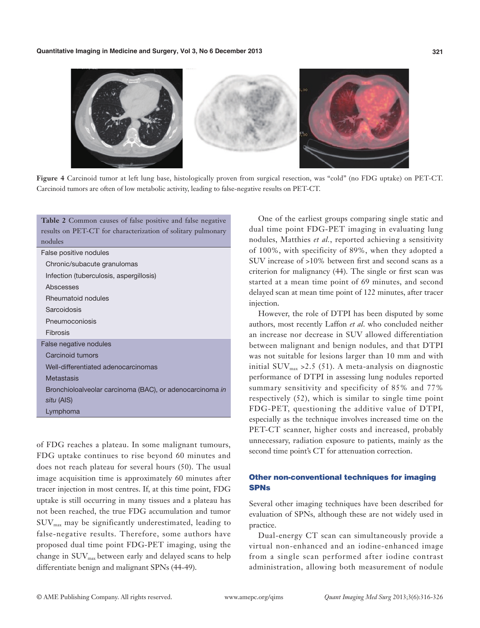

**Figure 4** Carcinoid tumor at left lung base, histologically proven from surgical resection, was "cold" (no FDG uptake) on PET-CT. Carcinoid tumors are often of low metabolic activity, leading to false-negative results on PET-CT.

| <b>Table 2</b> Common causes of false positive and false negative |  |  |
|-------------------------------------------------------------------|--|--|
| results on PET-CT for characterization of solitary pulmonary      |  |  |
| nodules                                                           |  |  |
| False positive nodules                                            |  |  |
| Chronic/subacute granulomas                                       |  |  |
| Infection (tuberculosis, aspergillosis)                           |  |  |
| Abscesses                                                         |  |  |
| Rheumatoid nodules                                                |  |  |
| Sarcoidosis                                                       |  |  |
| Pneumoconiosis                                                    |  |  |
| Fibrosis                                                          |  |  |
| False negative nodules                                            |  |  |
| Carcinoid tumors                                                  |  |  |
| Well-differentiated adenocarcinomas                               |  |  |
| Metastasis                                                        |  |  |
| Bronchioloalveolar carcinoma (BAC), or adenocarcinoma in          |  |  |
| situ (AIS)                                                        |  |  |
| Lymphoma                                                          |  |  |

of FDG reaches a plateau. In some malignant tumours, FDG uptake continues to rise beyond 60 minutes and does not reach plateau for several hours (50). The usual image acquisition time is approximately 60 minutes after tracer injection in most centres. If, at this time point, FDG uptake is still occurring in many tissues and a plateau has not been reached, the true FDG accumulation and tumor  $\text{SUV}_{\text{max}}$  may be significantly underestimated, leading to false-negative results. Therefore, some authors have proposed dual time point FDG-PET imaging, using the change in SUV<sub>max</sub> between early and delayed scans to help differentiate benign and malignant SPNs (44-49).

One of the earliest groups comparing single static and dual time point FDG-PET imaging in evaluating lung nodules, Matthies *et al.*, reported achieving a sensitivity of 100%, with specificity of 89%, when they adopted a SUV increase of >10% between first and second scans as a criterion for malignancy (44). The single or first scan was started at a mean time point of 69 minutes, and second delayed scan at mean time point of 122 minutes, after tracer injection.

However, the role of DTPI has been disputed by some authors, most recently Laffon *et al*. who concluded neither an increase nor decrease in SUV allowed differentiation between malignant and benign nodules, and that DTPI was not suitable for lesions larger than 10 mm and with initial  $\text{SUV}_{\text{max}}$  >2.5 (51). A meta-analysis on diagnostic performance of DTPI in assessing lung nodules reported summary sensitivity and specificity of 85% and 77% respectively (52), which is similar to single time point FDG-PET, questioning the additive value of DTPI, especially as the technique involves increased time on the PET-CT scanner, higher costs and increased, probably unnecessary, radiation exposure to patients, mainly as the second time point's CT for attenuation correction.

### Other non-conventional techniques for imaging **SPNs**

Several other imaging techniques have been described for evaluation of SPNs, although these are not widely used in practice.

Dual-energy CT scan can simultaneously provide a virtual non-enhanced and an iodine-enhanced image from a single scan performed after iodine contrast administration, allowing both measurement of nodule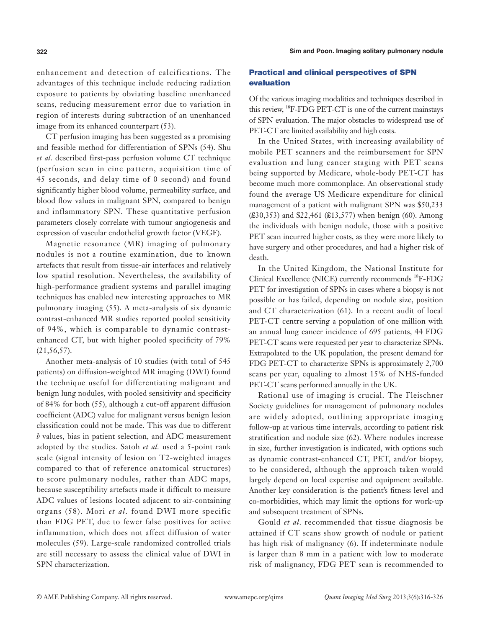enhancement and detection of calcifications. The advantages of this technique include reducing radiation exposure to patients by obviating baseline unenhanced scans, reducing measurement error due to variation in region of interests during subtraction of an unenhanced image from its enhanced counterpart (53).

CT perfusion imaging has been suggested as a promising and feasible method for differentiation of SPNs (54). Shu *et al*. described first-pass perfusion volume CT technique (perfusion scan in cine pattern, acquisition time of 45 seconds, and delay time of 0 second) and found significantly higher blood volume, permeability surface, and blood flow values in malignant SPN, compared to benign and inflammatory SPN. These quantitative perfusion parameters closely correlate with tumour angiogenesis and expression of vascular endothelial growth factor (VEGF).

Magnetic resonance (MR) imaging of pulmonary nodules is not a routine examination, due to known artefacts that result from tissue-air interfaces and relatively low spatial resolution. Nevertheless, the availability of high-performance gradient systems and parallel imaging techniques has enabled new interesting approaches to MR pulmonary imaging (55). A meta-analysis of six dynamic contrast-enhanced MR studies reported pooled sensitivity of 94%, which is comparable to dynamic contrastenhanced CT, but with higher pooled specificity of 79% (21,56,57).

Another meta-analysis of 10 studies (with total of 545 patients) on diffusion-weighted MR imaging (DWI) found the technique useful for differentiating malignant and benign lung nodules, with pooled sensitivity and specificity of 84% for both (55), although a cut-off apparent diffusion coefficient (ADC) value for malignant versus benign lesion classification could not be made. This was due to different *b* values, bias in patient selection, and ADC measurement adopted by the studies. Satoh *et al.* used a 5-point rank scale (signal intensity of lesion on T2-weighted images compared to that of reference anatomical structures) to score pulmonary nodules, rather than ADC maps, because susceptibility artefacts made it difficult to measure ADC values of lesions located adjacent to air-containing organs (58). Mori *et al*. found DWI more specific than FDG PET, due to fewer false positives for active inflammation, which does not affect diffusion of water molecules (59). Large-scale randomized controlled trials are still necessary to assess the clinical value of DWI in SPN characterization.

# Practical and clinical perspectives of SPN evaluation

Of the various imaging modalities and techniques described in this review, <sup>18</sup>F-FDG PET-CT is one of the current mainstays of SPN evaluation. The major obstacles to widespread use of PET-CT are limited availability and high costs.

In the United States, with increasing availability of mobile PET scanners and the reimbursement for SPN evaluation and lung cancer staging with PET scans being supported by Medicare, whole-body PET-CT has become much more commonplace. An observational study found the average US Medicare expenditure for clinical management of a patient with malignant SPN was \$50,233 (£30,353) and \$22,461 (£13,577) when benign (60). Among the individuals with benign nodule, those with a positive PET scan incurred higher costs, as they were more likely to have surgery and other procedures, and had a higher risk of death.

In the United Kingdom, the National Institute for Clinical Excellence (NICE) currently recommends <sup>18</sup>F-FDG PET for investigation of SPNs in cases where a biopsy is not possible or has failed, depending on nodule size, position and CT characterization (61). In a recent audit of local PET-CT centre serving a population of one million with an annual lung cancer incidence of 695 patients, 44 FDG PET-CT scans were requested per year to characterize SPNs. Extrapolated to the UK population, the present demand for FDG PET-CT to characterize SPNs is approximately 2,700 scans per year, equaling to almost 15% of NHS-funded PET-CT scans performed annually in the UK.

Rational use of imaging is crucial. The Fleischner Society guidelines for management of pulmonary nodules are widely adopted, outlining appropriate imaging follow-up at various time intervals, according to patient risk stratification and nodule size (62). Where nodules increase in size, further investigation is indicated, with options such as dynamic contrast-enhanced CT, PET, and/or biopsy, to be considered, although the approach taken would largely depend on local expertise and equipment available. Another key consideration is the patient's fitness level and co-morbidities, which may limit the options for work-up and subsequent treatment of SPNs.

Gould *et al*. recommended that tissue diagnosis be attained if CT scans show growth of nodule or patient has high risk of malignancy (6). If indeterminate nodule is larger than 8 mm in a patient with low to moderate risk of malignancy, FDG PET scan is recommended to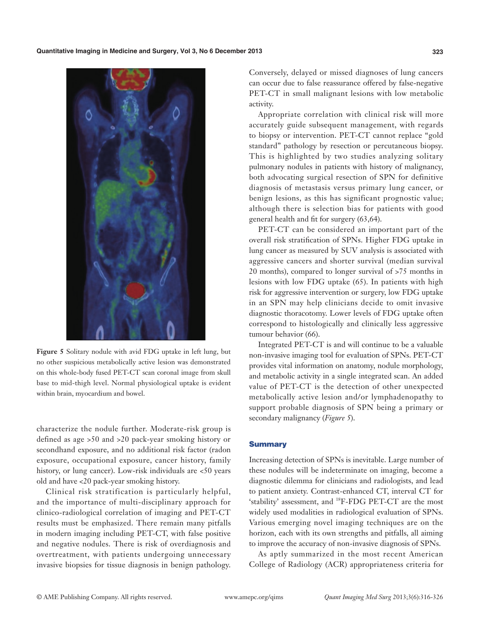**Quantitative Imaging in Medicine and Surgery, Vol 3, No 6 December 2013 323**



**Figure 5** Solitary nodule with avid FDG uptake in left lung, but no other suspicious metabolically active lesion was demonstrated on this whole-body fused PET-CT scan coronal image from skull base to mid-thigh level. Normal physiological uptake is evident within brain, myocardium and bowel.

characterize the nodule further. Moderate-risk group is defined as age >50 and >20 pack-year smoking history or secondhand exposure, and no additional risk factor (radon exposure, occupational exposure, cancer history, family history, or lung cancer). Low-risk individuals are <50 years old and have <20 pack-year smoking history.

Clinical risk stratification is particularly helpful, and the importance of multi-disciplinary approach for clinico-radiological correlation of imaging and PET-CT results must be emphasized. There remain many pitfalls in modern imaging including PET-CT, with false positive and negative nodules. There is risk of overdiagnosis and overtreatment, with patients undergoing unnecessary invasive biopsies for tissue diagnosis in benign pathology.

Conversely, delayed or missed diagnoses of lung cancers can occur due to false reassurance offered by false-negative PET-CT in small malignant lesions with low metabolic activity.

Appropriate correlation with clinical risk will more accurately guide subsequent management, with regards to biopsy or intervention. PET-CT cannot replace "gold standard" pathology by resection or percutaneous biopsy. This is highlighted by two studies analyzing solitary pulmonary nodules in patients with history of malignancy, both advocating surgical resection of SPN for definitive diagnosis of metastasis versus primary lung cancer, or benign lesions, as this has significant prognostic value; although there is selection bias for patients with good general health and fit for surgery (63,64).

PET-CT can be considered an important part of the overall risk stratification of SPNs. Higher FDG uptake in lung cancer as measured by SUV analysis is associated with aggressive cancers and shorter survival (median survival 20 months), compared to longer survival of >75 months in lesions with low FDG uptake (65). In patients with high risk for aggressive intervention or surgery, low FDG uptake in an SPN may help clinicians decide to omit invasive diagnostic thoracotomy. Lower levels of FDG uptake often correspond to histologically and clinically less aggressive tumour behavior (66).

Integrated PET-CT is and will continue to be a valuable non-invasive imaging tool for evaluation of SPNs. PET-CT provides vital information on anatomy, nodule morphology, and metabolic activity in a single integrated scan. An added value of PET-CT is the detection of other unexpected metabolically active lesion and/or lymphadenopathy to support probable diagnosis of SPN being a primary or secondary malignancy (*Figure 5*).

#### **Summary**

Increasing detection of SPNs is inevitable. Large number of these nodules will be indeterminate on imaging, become a diagnostic dilemma for clinicians and radiologists, and lead to patient anxiety. Contrast-enhanced CT, interval CT for 'stability' assessment, and <sup>18</sup>F-FDG PET-CT are the most widely used modalities in radiological evaluation of SPNs. Various emerging novel imaging techniques are on the horizon, each with its own strengths and pitfalls, all aiming to improve the accuracy of non-invasive diagnosis of SPNs.

As aptly summarized in the most recent American College of Radiology (ACR) appropriateness criteria for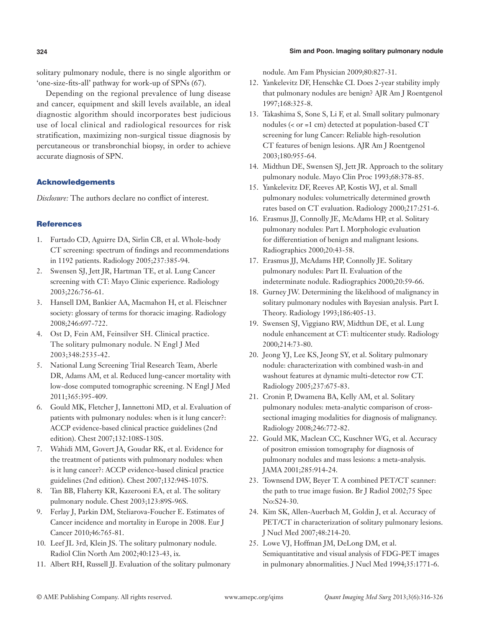#### **324 Sim and Poon. Imaging solitary pulmonary nodule**

solitary pulmonary nodule, there is no single algorithm or 'one-size-fits-all' pathway for work-up of SPNs (67).

Depending on the regional prevalence of lung disease and cancer, equipment and skill levels available, an ideal diagnostic algorithm should incorporates best judicious use of local clinical and radiological resources for risk stratification, maximizing non-surgical tissue diagnosis by percutaneous or transbronchial biopsy, in order to achieve accurate diagnosis of SPN.

# Acknowledgements

*Disclosure:* The authors declare no conflict of interest.

# **References**

- 1. Furtado CD, Aguirre DA, Sirlin CB, et al. Whole-body CT screening: spectrum of findings and recommendations in 1192 patients. Radiology 2005;237:385-94.
- 2. Swensen SJ, Jett JR, Hartman TE, et al. Lung Cancer screening with CT: Mayo Clinic experience. Radiology 2003;226:756-61.
- 3. Hansell DM, Bankier AA, Macmahon H, et al. Fleischner society: glossary of terms for thoracic imaging. Radiology 2008;246:697-722.
- 4. Ost D, Fein AM, Feinsilver SH. Clinical practice. The solitary pulmonary nodule. N Engl J Med 2003;348:2535-42.
- 5. National Lung Screening Trial Research Team, Aberle DR, Adams AM, et al. Reduced lung-cancer mortality with low-dose computed tomographic screening. N Engl J Med 2011;365:395-409.
- 6. Gould MK, Fletcher J, Iannettoni MD, et al. Evaluation of patients with pulmonary nodules: when is it lung cancer?: ACCP evidence-based clinical practice guidelines (2nd edition). Chest 2007;132:108S-130S.
- 7. Wahidi MM, Govert JA, Goudar RK, et al. Evidence for the treatment of patients with pulmonary nodules: when is it lung cancer?: ACCP evidence-based clinical practice guidelines (2nd edition). Chest 2007;132:94S-107S.
- 8. Tan BB, Flaherty KR, Kazerooni EA, et al. The solitary pulmonary nodule. Chest 2003;123:89S-96S.
- 9. Ferlay J, Parkin DM, Steliarova-Foucher E. Estimates of Cancer incidence and mortality in Europe in 2008. Eur J Cancer 2010;46:765-81.
- 10. Leef JL 3rd, Klein JS. The solitary pulmonary nodule. Radiol Clin North Am 2002;40:123-43, ix.
- 11. Albert RH, Russell JJ. Evaluation of the solitary pulmonary

nodule. Am Fam Physician 2009;80:827-31.

- 12. Yankelevitz DF, Henschke CI. Does 2-year stability imply that pulmonary nodules are benign? AJR Am J Roentgenol 1997;168:325-8.
- 13. Takashima S, Sone S, Li F, et al. Small solitary pulmonary nodules (< or =1 cm) detected at population-based CT screening for lung Cancer: Reliable high-resolution CT features of benign lesions. AJR Am J Roentgenol 2003;180:955-64.
- 14. Midthun DE, Swensen SJ, Jett JR. Approach to the solitary pulmonary nodule. Mayo Clin Proc 1993;68:378-85.
- 15. Yankelevitz DF, Reeves AP, Kostis WJ, et al. Small pulmonary nodules: volumetrically determined growth rates based on CT evaluation. Radiology 2000;217:251-6.
- 16. Erasmus JJ, Connolly JE, McAdams HP, et al. Solitary pulmonary nodules: Part I. Morphologic evaluation for differentiation of benign and malignant lesions. Radiographics 2000;20:43-58.
- 17. Erasmus JJ, McAdams HP, Connolly JE. Solitary pulmonary nodules: Part II. Evaluation of the indeterminate nodule. Radiographics 2000;20:59-66.
- 18. Gurney JW. Determining the likelihood of malignancy in solitary pulmonary nodules with Bayesian analysis. Part I. Theory. Radiology 1993;186:405-13.
- 19. Swensen SJ, Viggiano RW, Midthun DE, et al. Lung nodule enhancement at CT: multicenter study. Radiology 2000;214:73-80.
- 20. Jeong YJ, Lee KS, Jeong SY, et al. Solitary pulmonary nodule: characterization with combined wash-in and washout features at dynamic multi-detector row CT. Radiology 2005;237:675-83.
- 21. Cronin P, Dwamena BA, Kelly AM, et al. Solitary pulmonary nodules: meta-analytic comparison of crosssectional imaging modalities for diagnosis of malignancy. Radiology 2008;246:772-82.
- 22. Gould MK, Maclean CC, Kuschner WG, et al. Accuracy of positron emission tomography for diagnosis of pulmonary nodules and mass lesions: a meta-analysis. JAMA 2001;285:914-24.
- 23. Townsend DW, Beyer T. A combined PET/CT scanner: the path to true image fusion. Br J Radiol 2002;75 Spec No:S24-30.
- 24. Kim SK, Allen-Auerbach M, Goldin J, et al. Accuracy of PET/CT in characterization of solitary pulmonary lesions. J Nucl Med 2007;48:214-20.
- 25. Lowe VJ, Hoffman JM, DeLong DM, et al. Semiquantitative and visual analysis of FDG-PET images in pulmonary abnormalities. J Nucl Med 1994;35:1771-6.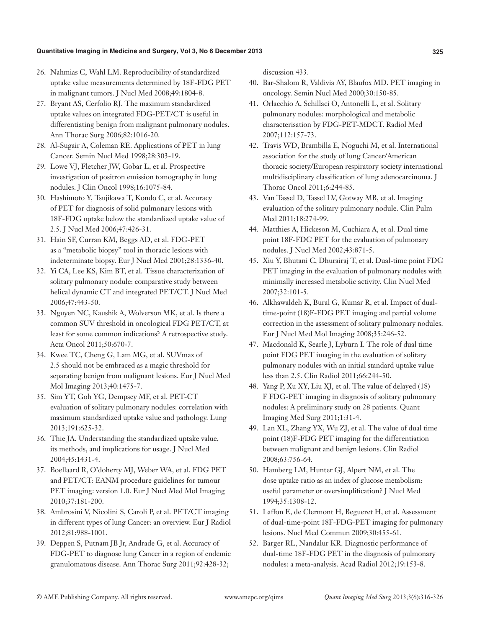#### **Quantitative Imaging in Medicine and Surgery, Vol 3, No 6 December 2013 325**

- 26. Nahmias C, Wahl LM. Reproducibility of standardized uptake value measurements determined by 18F-FDG PET in malignant tumors. J Nucl Med 2008;49:1804-8.
- 27. Bryant AS, Cerfolio RJ. The maximum standardized uptake values on integrated FDG-PET/CT is useful in differentiating benign from malignant pulmonary nodules. Ann Thorac Surg 2006;82:1016-20.
- 28. Al-Sugair A, Coleman RE. Applications of PET in lung Cancer. Semin Nucl Med 1998;28:303-19.
- 29. Lowe VJ, Fletcher JW, Gobar L, et al. Prospective investigation of positron emission tomography in lung nodules. J Clin Oncol 1998;16:1075-84.
- 30. Hashimoto Y, Tsujikawa T, Kondo C, et al. Accuracy of PET for diagnosis of solid pulmonary lesions with 18F-FDG uptake below the standardized uptake value of 2.5. J Nucl Med 2006;47:426-31.
- 31. Hain SF, Curran KM, Beggs AD, et al. FDG-PET as a "metabolic biopsy" tool in thoracic lesions with indeterminate biopsy. Eur J Nucl Med 2001;28:1336-40.
- 32. Yi CA, Lee KS, Kim BT, et al. Tissue characterization of solitary pulmonary nodule: comparative study between helical dynamic CT and integrated PET/CT. J Nucl Med 2006;47:443-50.
- 33. Nguyen NC, Kaushik A, Wolverson MK, et al. Is there a common SUV threshold in oncological FDG PET/CT, at least for some common indications? A retrospective study. Acta Oncol 2011;50:670-7.
- 34. Kwee TC, Cheng G, Lam MG, et al. SUVmax of 2.5 should not be embraced as a magic threshold for separating benign from malignant lesions. Eur J Nucl Med Mol Imaging 2013;40:1475-7.
- 35. Sim YT, Goh YG, Dempsey MF, et al. PET-CT evaluation of solitary pulmonary nodules: correlation with maximum standardized uptake value and pathology. Lung 2013;191:625-32.
- 36. Thie JA. Understanding the standardized uptake value, its methods, and implications for usage. J Nucl Med 2004;45:1431-4.
- 37. Boellaard R, O'doherty MJ, Weber WA, et al. FDG PET and PET/CT: EANM procedure guidelines for tumour PET imaging: version 1.0. Eur J Nucl Med Mol Imaging 2010;37:181-200.
- 38. Ambrosini V, Nicolini S, Caroli P, et al. PET/CT imaging in different types of lung Cancer: an overview. Eur J Radiol 2012;81:988-1001.
- 39. Deppen S, Putnam JB Jr, Andrade G, et al. Accuracy of FDG-PET to diagnose lung Cancer in a region of endemic granulomatous disease. Ann Thorac Surg 2011;92:428-32;

discussion 433.

- 40. Bar-Shalom R, Valdivia AY, Blaufox MD. PET imaging in oncology. Semin Nucl Med 2000;30:150-85.
- 41. Orlacchio A, Schillaci O, Antonelli L, et al. Solitary pulmonary nodules: morphological and metabolic characterisation by FDG-PET-MDCT. Radiol Med 2007;112:157-73.
- 42. Travis WD, Brambilla E, Noguchi M, et al. International association for the study of lung Cancer/American thoracic society/European respiratory society international multidisciplinary classification of lung adenocarcinoma. J Thorac Oncol 2011;6:244-85.
- 43. Van Tassel D, Tassel LV, Gotway MB, et al. Imaging evaluation of the solitary pulmonary nodule. Clin Pulm Med 2011;18:274-99.
- 44. Matthies A, Hickeson M, Cuchiara A, et al. Dual time point 18F-FDG PET for the evaluation of pulmonary nodules. J Nucl Med 2002;43:871-5.
- 45. Xiu Y, Bhutani C, Dhurairaj T, et al. Dual-time point FDG PET imaging in the evaluation of pulmonary nodules with minimally increased metabolic activity. Clin Nucl Med 2007;32:101-5.
- 46. Alkhawaldeh K, Bural G, Kumar R, et al. Impact of dualtime-point (18)F-FDG PET imaging and partial volume correction in the assessment of solitary pulmonary nodules. Eur J Nucl Med Mol Imaging 2008;35:246-52.
- 47. Macdonald K, Searle J, Lyburn I. The role of dual time point FDG PET imaging in the evaluation of solitary pulmonary nodules with an initial standard uptake value less than 2.5. Clin Radiol 2011;66:244-50.
- 48. Yang P, Xu XY, Liu XJ, et al. The value of delayed (18) F FDG-PET imaging in diagnosis of solitary pulmonary nodules: A preliminary study on 28 patients. Quant Imaging Med Surg 2011;1:31-4.
- 49. Lan XL, Zhang YX, Wu ZJ, et al. The value of dual time point (18)F-FDG PET imaging for the differentiation between malignant and benign lesions. Clin Radiol 2008;63:756-64.
- 50. Hamberg LM, Hunter GJ, Alpert NM, et al. The dose uptake ratio as an index of glucose metabolism: useful parameter or oversimplification? J Nucl Med 1994;35:1308-12.
- 51. Laffon E, de Clermont H, Begueret H, et al. Assessment of dual-time-point 18F-FDG-PET imaging for pulmonary lesions. Nucl Med Commun 2009;30:455-61.
- 52. Barger RL, Nandalur KR. Diagnostic performance of dual-time 18F-FDG PET in the diagnosis of pulmonary nodules: a meta-analysis. Acad Radiol 2012;19:153-8.